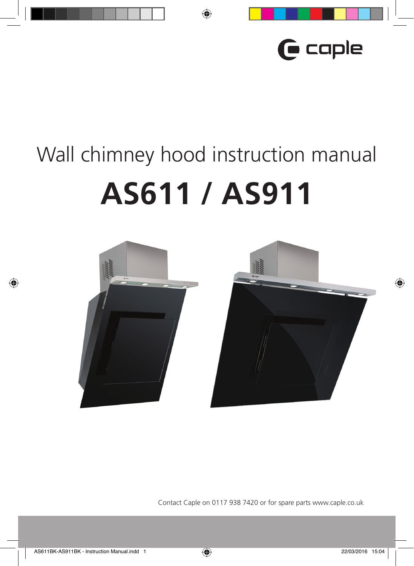

# Wall chimney hood instruction manual **AS611 / AS911**



Contact Caple on 0117 938 7420 or for spare parts www.caple.co.uk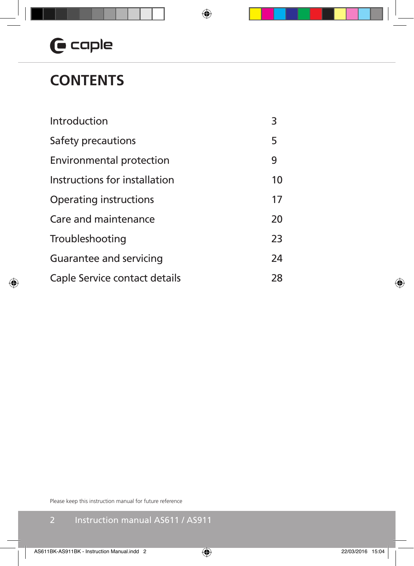### **CONTENTS**

| Introduction                    | 3  |
|---------------------------------|----|
| Safety precautions              | 5  |
| <b>Environmental protection</b> | 9  |
| Instructions for installation   | 10 |
| Operating instructions          | 17 |
| Care and maintenance            | 20 |
| Troubleshooting                 | 23 |
| Guarantee and servicing         | 24 |
| Caple Service contact details   | 28 |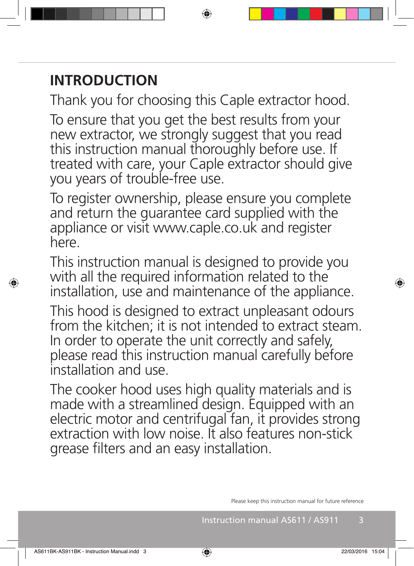### **INTRODUCTION**

Thank you for choosing this Caple extractor hood.

To ensure that you get the best results from your new extractor, we strongly suggest that you read this instruction manual thoroughly before use. If treated with care, your Caple extractor should give you years of trouble-free use.

To register ownership, please ensure you complete and return the guarantee card supplied with the appliance or visit www.caple.co.uk and register here.

This instruction manual is designed to provide you with all the required information related to the installation, use and maintenance of the appliance.

This hood is designed to extract unpleasant odours from the kitchen; it is not intended to extract steam. In order to operate the unit correctly and safely, please read this instruction manual carefully before installation and use.

The cooker hood uses high quality materials and is made with a streamlined design. Equipped with an electric motor and centrifugal fan, it provides strong extraction with low noise. It also features non-stick grease filters and an easy installation.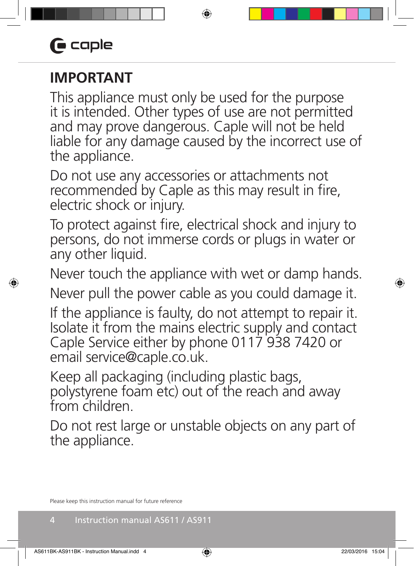# **G** caple

### **IMPORTANT**

This appliance must only be used for the purpose it is intended. Other types of use are not permitted and may prove dangerous. Caple will not be held liable for any damage caused by the incorrect use of the appliance.

Do not use any accessories or attachments not recommended by Caple as this may result in fire, electric shock or injury.

To protect against fire, electrical shock and injury to persons, do not immerse cords or plugs in water or any other liquid.

Never touch the appliance with wet or damp hands. Never pull the power cable as you could damage it.

If the appliance is faulty, do not attempt to repair it. Isolate it from the mains electric supply and contact Caple Service either by phone 0117 938 7420 or email service@caple.co.uk.

Keep all packaging (including plastic bags, polystyrene foam etc) out of the reach and away from children.

Do not rest large or unstable objects on any part of the appliance.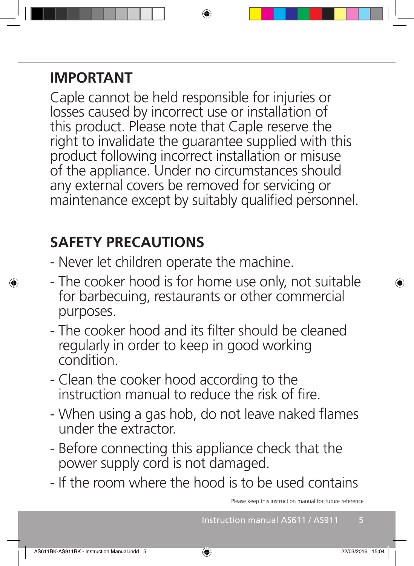### **IMPORTANT**

Caple cannot be held responsible for injuries or losses caused by incorrect use or installation of this product. Please note that Caple reserve the right to invalidate the guarantee supplied with this product following incorrect installation or misuse of the appliance. Under no circumstances should any external covers be removed for servicing or maintenance except by suitably qualified personnel.

### **SAFETY PRECAUTIONS**

- Never let children operate the machine.
- The cooker hood is for home use only, not suitable for barbecuing, restaurants or other commercial purposes.
- The cooker hood and its filter should be cleaned regularly in order to keep in good working condition.
- Clean the cooker hood according to the instruction manual to reduce the risk of fire.
- When using a gas hob, do not leave naked flames under the extractor.
- Before connecting this appliance check that the power supply cord is not damaged.
- If the room where the hood is to be used contains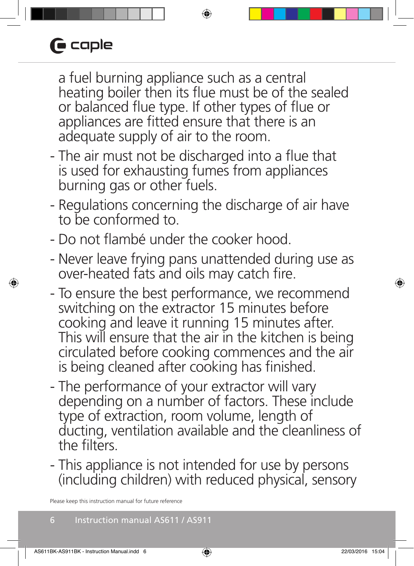# $\blacksquare$  caple

a fuel burning appliance such as a central heating boiler then its flue must be of the sealed or balanced flue type. If other types of flue or appliances are fitted ensure that there is an adequate supply of air to the room.

- The air must not be discharged into a flue that is used for exhausting fumes from appliances burning gas or other fuels.
- Regulations concerning the discharge of air have to be conformed to.
- Do not flambé under the cooker hood.
- Never leave frying pans unattended during use as over-heated fats and oils may catch fire.
- To ensure the best performance, we recommend switching on the extractor 15 minutes before cooking and leave it running 15 minutes after. This will ensure that the air in the kitchen is being circulated before cooking commences and the air is being cleaned after cooking has finished.
- The performance of your extractor will vary depending on a number of factors. These include type of extraction, room volume, length of ducting, ventilation available and the cleanliness of the filters.
- This appliance is not intended for use by persons (including children) with reduced physical, sensory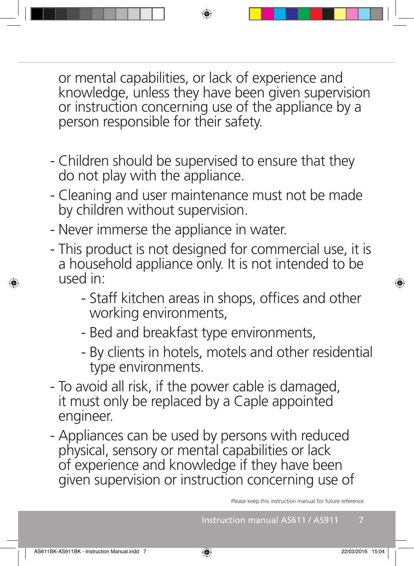or mental capabilities, or lack of experience and knowledge, unless they have been given supervision or instruction concerning use of the appliance by a person responsible for their safety.

- Children should be supervised to ensure that they do not play with the appliance.
- Cleaning and user maintenance must not be made by children without supervision.
- Never immerse the appliance in water.
- This product is not designed for commercial use, it is a household appliance only. It is not intended to be used in:
	- Staff kitchen areas in shops, offices and other working environments,
	- Bed and breakfast type environments,
	- By clients in hotels, motels and other residential type environments.
- To avoid all risk, if the power cable is damaged, it must only be replaced by a Caple appointed engineer.
- Appliances can be used by persons with reduced physical, sensory or mental capabilities or lack of experience and knowledge if they have been given supervision or instruction concerning use of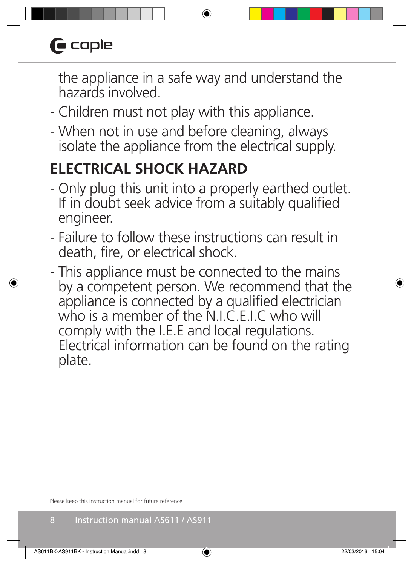# $\blacksquare$  caple

the appliance in a safe way and understand the hazards involved.

- Children must not play with this appliance.
- When not in use and before cleaning, always isolate the appliance from the electrical supply.

### **ELECTRICAL SHOCK HAZARD**

- Only plug this unit into a properly earthed outlet. If in doubt seek advice from a suitably qualified engineer.
- Failure to follow these instructions can result in death, fire, or electrical shock.
- This appliance must be connected to the mains by a competent person. We recommend that the appliance is connected by a qualified electrician who is a member of the N.I.C.F.I.C who will comply with the I.E.E and local regulations. Electrical information can be found on the rating plate.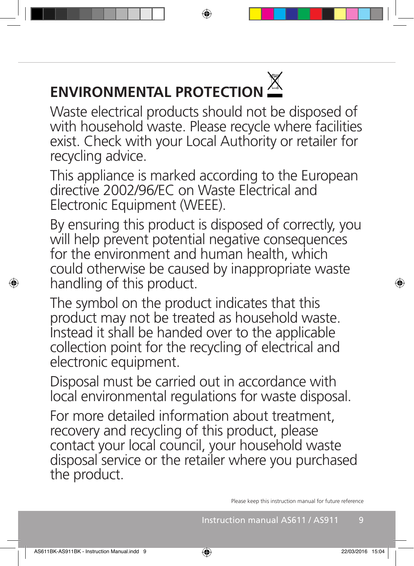# **ENVIRONMENTAL PROTECTION**

Waste electrical products should not be disposed of with household waste. Please recycle where facilities exist. Check with your Local Authority or retailer for recycling advice.

This appliance is marked according to the European directive 2002/96/EC on Waste Electrical and Electronic Equipment (WEEE).

By ensuring this product is disposed of correctly, you will help prevent potential negative consequences for the environment and human health, which could otherwise be caused by inappropriate waste handling of this product.

The symbol on the product indicates that this product may not be treated as household waste. Instead it shall be handed over to the applicable collection point for the recycling of electrical and electronic equipment.

Disposal must be carried out in accordance with local environmental regulations for waste disposal.

For more detailed information about treatment, recovery and recycling of this product, please contact your local council, your household waste disposal service or the retailer where you purchased the product.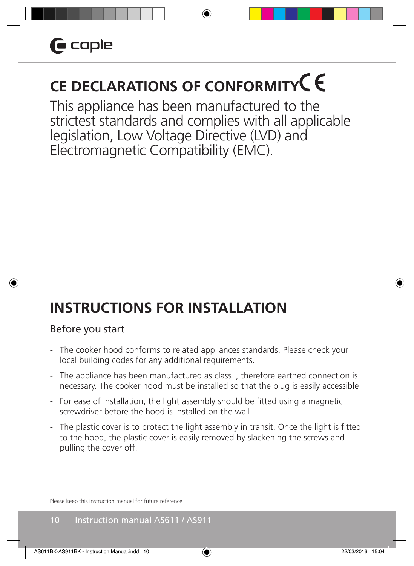## **CE DECLARATIONS OF CONFORMITY**

This appliance has been manufactured to the strictest standards and complies with all applicable legislation, Low Voltage Directive (LVD) and Electromagnetic Compatibility (EMC).

### **INSTRUCTIONS FOR INSTALLATION**

#### Before you start

- The cooker hood conforms to related appliances standards. Please check your local building codes for any additional requirements.
- The appliance has been manufactured as class I, therefore earthed connection is necessary. The cooker hood must be installed so that the plug is easily accessible.
- For ease of installation, the light assembly should be fitted using a magnetic screwdriver before the hood is installed on the wall.
- The plastic cover is to protect the light assembly in transit. Once the light is fitted to the hood, the plastic cover is easily removed by slackening the screws and pulling the cover off.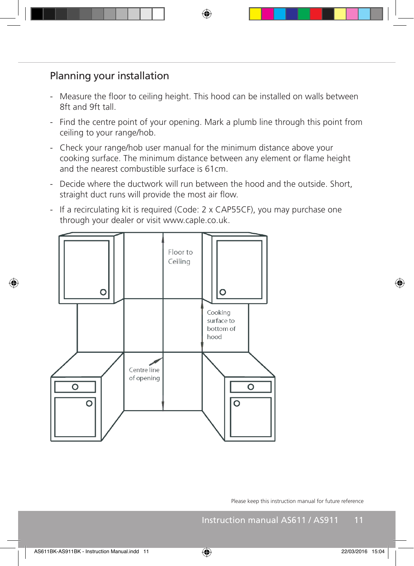### Planning your installation

- Measure the floor to ceiling height. This hood can be installed on walls between 8ft and 9ft tall.
- Find the centre point of your opening. Mark a plumb line through this point from ceiling to your range/hob.
- Check your range/hob user manual for the minimum distance above your cooking surface. The minimum distance between any element or flame height and the nearest combustible surface is 61cm.
- Decide where the ductwork will run between the hood and the outside. Short, straight duct runs will provide the most air flow.
- If a recirculating kit is required (Code: 2 x CAP55CF), you may purchase one through your dealer or visit www.caple.co.uk.

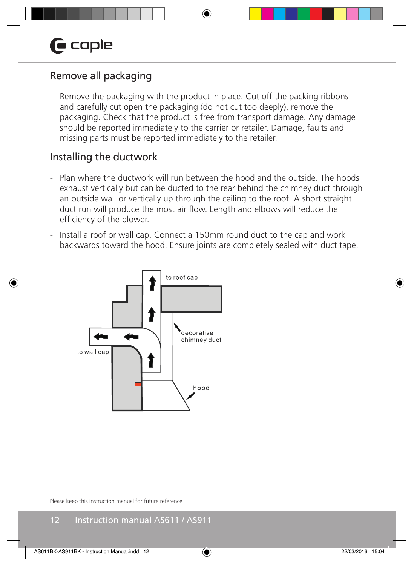### Remove all packaging

- Remove the packaging with the product in place. Cut off the packing ribbons and carefully cut open the packaging (do not cut too deeply), remove the packaging. Check that the product is free from transport damage. Any damage should be reported immediately to the carrier or retailer. Damage, faults and missing parts must be reported immediately to the retailer.

#### Installing the ductwork

- Plan where the ductwork will run between the hood and the outside. The hoods exhaust vertically but can be ducted to the rear behind the chimney duct through an outside wall or vertically up through the ceiling to the roof. A short straight duct run will produce the most air flow. Length and elbows will reduce the efficiency of the blower.
- Install a roof or wall cap. Connect a 150mm round duct to the cap and work backwards toward the hood. Ensure joints are completely sealed with duct tape.

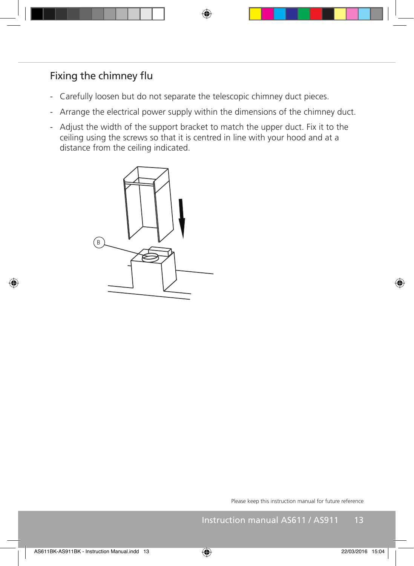### Fixing the chimney flu

- Carefully loosen but do not separate the telescopic chimney duct pieces.
- Arrange the electrical power supply within the dimensions of the chimney duct.
- Adjust the width of the support bracket to match the upper duct. Fix it to the ceiling using the screws so that it is centred in line with your hood and at a distance from the ceiling indicated.

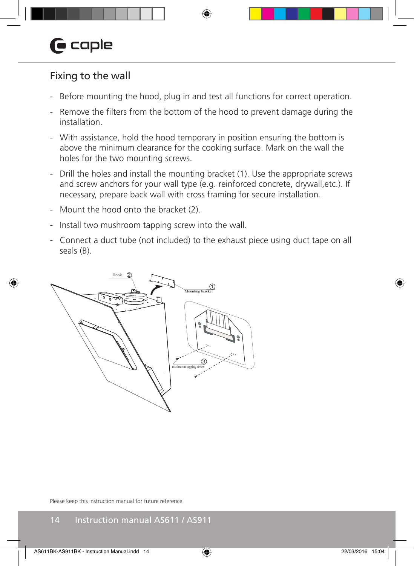### Fixing to the wall

- Before mounting the hood, plug in and test all functions for correct operation.
- Remove the filters from the bottom of the hood to prevent damage during the installation.
- With assistance, hold the hood temporary in position ensuring the bottom is above the minimum clearance for the cooking surface. Mark on the wall the holes for the two mounting screws.
- Drill the holes and install the mounting bracket (1). Use the appropriate screws and screw anchors for your wall type (e.g. reinforced concrete, drywall,etc.). If necessary, prepare back wall with cross framing for secure installation.
- Mount the hood onto the bracket (2).
- Install two mushroom tapping screw into the wall.
- Connect a duct tube (not included) to the exhaust piece using duct tape on all seals (B).

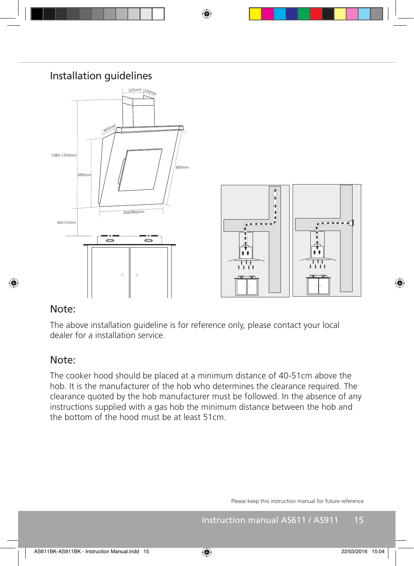

#### Note:

The above installation guideline is for reference only, please contact your local dealer for a installation service.

#### Note:

The cooker hood should be placed at a minimum distance of 40-51cm above the hob. It is the manufacturer of the hob who determines the clearance required. The clearance quoted by the hob manufacturer must be followed. In the absence of any instructions supplied with a gas hob the minimum distance between the hob and the bottom of the hood must be at least 51cm.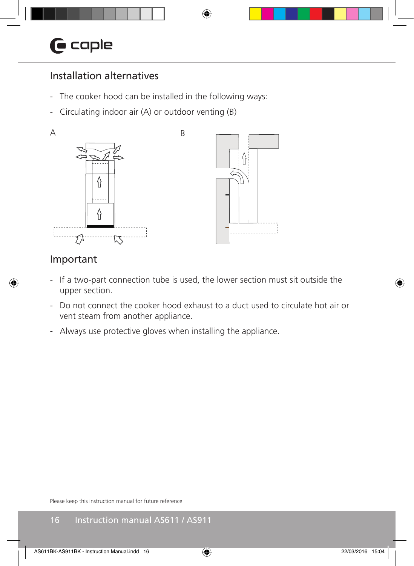### Installation alternatives

- The cooker hood can be installed in the following ways:
- Circulating indoor air (A) or outdoor venting (B)



### Important

- If a two-part connection tube is used, the lower section must sit outside the upper section.
- Do not connect the cooker hood exhaust to a duct used to circulate hot air or vent steam from another appliance.
- Always use protective gloves when installing the appliance.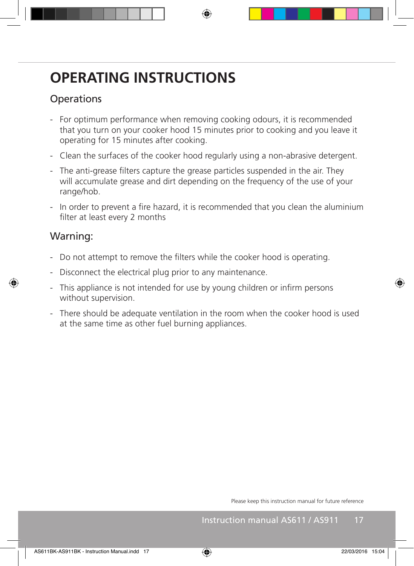### **OPERATING INSTRUCTIONS**

### **Operations**

- For optimum performance when removing cooking odours, it is recommended that you turn on your cooker hood 15 minutes prior to cooking and you leave it operating for 15 minutes after cooking.
- Clean the surfaces of the cooker hood regularly using a non-abrasive detergent.
- The anti-grease filters capture the grease particles suspended in the air. They will accumulate grease and dirt depending on the frequency of the use of your range/hob.
- In order to prevent a fire hazard, it is recommended that you clean the aluminium filter at least every 2 months

### Warning:

- Do not attempt to remove the filters while the cooker hood is operating.
- Disconnect the electrical plug prior to any maintenance.
- This appliance is not intended for use by young children or infirm persons without supervision.
- There should be adequate ventilation in the room when the cooker hood is used at the same time as other fuel burning appliances.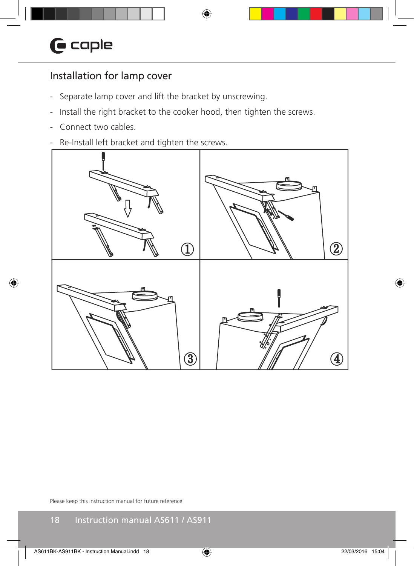### Installation for lamp cover

- Separate lamp cover and lift the bracket by unscrewing.
- Install the right bracket to the cooker hood, then tighten the screws.
- Connect two cables.
- Re-Install left bracket and tighten the screws.

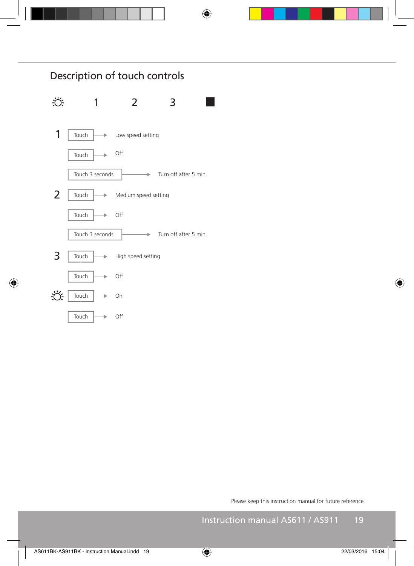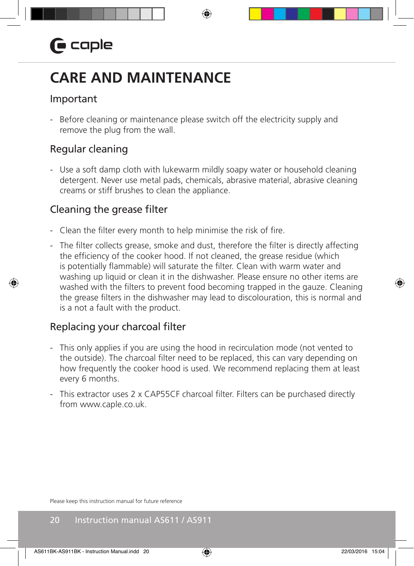### **CARE AND MAINTENANCE**

#### Important

- Before cleaning or maintenance please switch off the electricity supply and remove the plug from the wall.

### Regular cleaning

- Use a soft damp cloth with lukewarm mildly soapy water or household cleaning detergent. Never use metal pads, chemicals, abrasive material, abrasive cleaning creams or stiff brushes to clean the appliance.

#### Cleaning the grease filter

- Clean the filter every month to help minimise the risk of fire.
- The filter collects grease, smoke and dust, therefore the filter is directly affecting the efficiency of the cooker hood. If not cleaned, the grease residue (which is potentially flammable) will saturate the filter. Clean with warm water and washing up liquid or clean it in the dishwasher. Please ensure no other items are washed with the filters to prevent food becoming trapped in the gauze. Cleaning the grease filters in the dishwasher may lead to discolouration, this is normal and is a not a fault with the product.

#### Replacing your charcoal filter

- This only applies if you are using the hood in recirculation mode (not vented to the outside). The charcoal filter need to be replaced, this can vary depending on how frequently the cooker hood is used. We recommend replacing them at least every 6 months.
- This extractor uses 2 x CAP55CF charcoal filter. Filters can be purchased directly from www.caple.co.uk.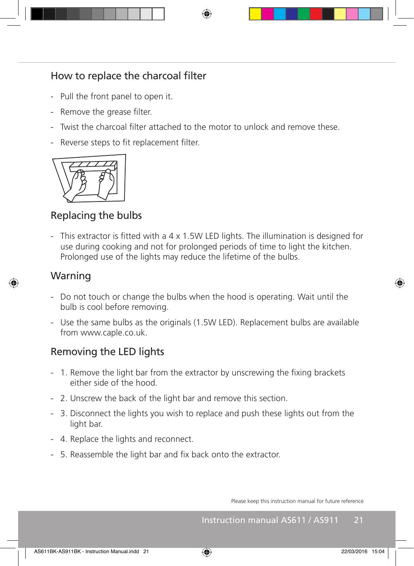### How to replace the charcoal filter

- Pull the front panel to open it.
- Remove the grease filter.
- Twist the charcoal filter attached to the motor to unlock and remove these.
- Reverse steps to fit replacement filter.



### Replacing the bulbs

- This extractor is fitted with a 4 x 1.5W LED lights. The illumination is designed for use during cooking and not for prolonged periods of time to light the kitchen. Prolonged use of the lights may reduce the lifetime of the bulbs.

#### Warning

- Do not touch or change the bulbs when the hood is operating. Wait until the bulb is cool before removing.
- Use the same bulbs as the originals (1.5W LED). Replacement bulbs are available from www.caple.co.uk.

### Removing the LED lights

- 1. Remove the light bar from the extractor by unscrewing the fixing brackets either side of the hood.
- 2. Unscrew the back of the light bar and remove this section.
- 3. Disconnect the lights you wish to replace and push these lights out from the light bar.
- 4. Replace the lights and reconnect.
- 5. Reassemble the light bar and fix back onto the extractor.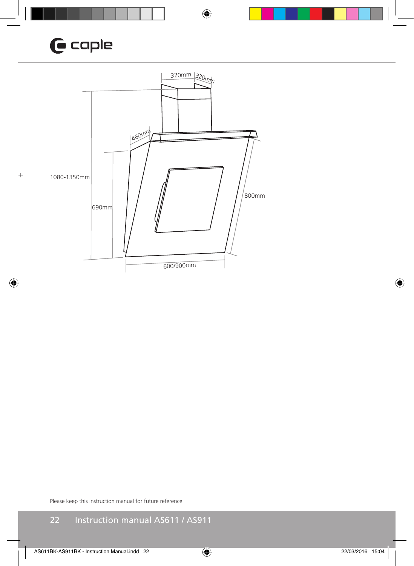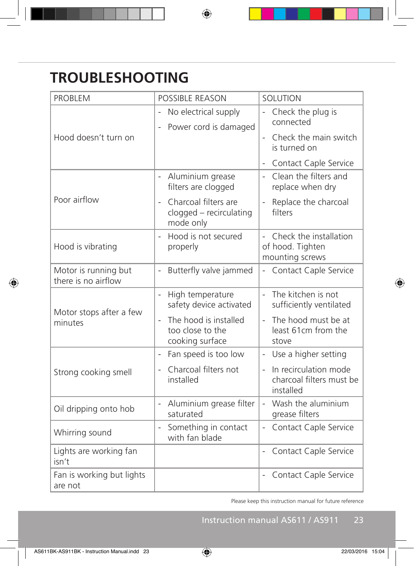### **TROUBLESHOOTING**

| <b>PROBLEM</b>                              | POSSIBLE REASON                                                    | SOLUTION                                                                       |
|---------------------------------------------|--------------------------------------------------------------------|--------------------------------------------------------------------------------|
| Hood doesn't turn on                        | No electrical supply<br>$\overline{a}$<br>Power cord is damaged    | Check the plug is<br>connected<br>Check the main switch<br>is turned on        |
|                                             |                                                                    |                                                                                |
|                                             |                                                                    | Contact Caple Service                                                          |
| Poor airflow                                | Aluminium grease<br>filters are clogged                            | Clean the filters and<br>$\overline{a}$<br>replace when dry                    |
|                                             | Charcoal filters are<br>clogged - recirculating<br>mode only       | Replace the charcoal<br>filters                                                |
| Hood is vibrating                           | Hood is not secured<br>$\overline{a}$<br>properly                  | - Check the installation<br>of hood. Tighten<br>mounting screws                |
| Motor is running but<br>there is no airflow | Butterfly valve jammed<br>$\frac{1}{2}$                            | Contact Caple Service<br>÷.                                                    |
| Motor stops after a few<br>minutes          | High temperature<br>$\frac{1}{2}$<br>safety device activated       | The kitchen is not<br>$\overline{a}$<br>sufficiently ventilated                |
|                                             | The hood is installed<br>too close to the<br>cooking surface       | The hood must be at<br>least 61cm from the<br>stove                            |
| Strong cooking smell                        | Fan speed is too low<br>$\overline{\phantom{0}}$                   | Use a higher setting<br>$\overline{\phantom{a}}$                               |
|                                             | Charcoal filters not<br>$\frac{1}{2}$<br>installed                 | In recirculation mode<br>$\mathbf{r}$<br>charcoal filters must be<br>installed |
| Oil dripping onto hob                       | Aluminium grease filter<br>$\overline{\phantom{a}}$<br>saturated   | Wash the aluminium<br>$\overline{a}$<br>grease filters                         |
| Whirring sound                              | Something in contact<br>$\overline{\phantom{0}}$<br>with fan blade | Contact Caple Service<br>÷,                                                    |
| Lights are working fan<br>isn't             |                                                                    | Contact Caple Service                                                          |
| Fan is working but lights<br>are not        |                                                                    | Contact Caple Service                                                          |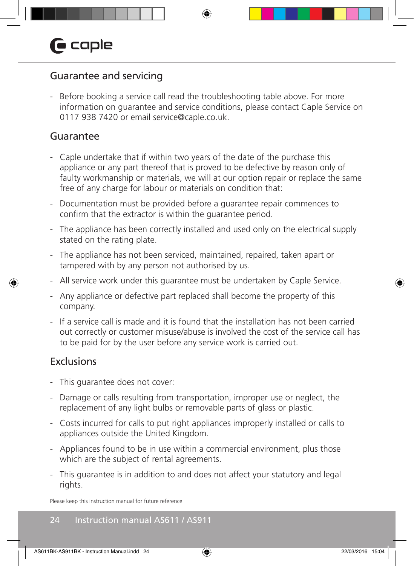### Guarantee and servicing

- Before booking a service call read the troubleshooting table above. For more information on guarantee and service conditions, please contact Caple Service on 0117 938 7420 or email service@caple.co.uk.

#### Guarantee

- Caple undertake that if within two years of the date of the purchase this appliance or any part thereof that is proved to be defective by reason only of faulty workmanship or materials, we will at our option repair or replace the same free of any charge for labour or materials on condition that:
- Documentation must be provided before a guarantee repair commences to confirm that the extractor is within the guarantee period.
- The appliance has been correctly installed and used only on the electrical supply stated on the rating plate.
- The appliance has not been serviced, maintained, repaired, taken apart or tampered with by any person not authorised by us.
- All service work under this guarantee must be undertaken by Caple Service.
- Any appliance or defective part replaced shall become the property of this company.
- If a service call is made and it is found that the installation has not been carried out correctly or customer misuse/abuse is involved the cost of the service call has to be paid for by the user before any service work is carried out.

#### **Exclusions**

- This guarantee does not cover:
- Damage or calls resulting from transportation, improper use or neglect, the replacement of any light bulbs or removable parts of glass or plastic.
- Costs incurred for calls to put right appliances improperly installed or calls to appliances outside the United Kingdom.
- Appliances found to be in use within a commercial environment, plus those which are the subject of rental agreements.
- This guarantee is in addition to and does not affect your statutory and legal rights.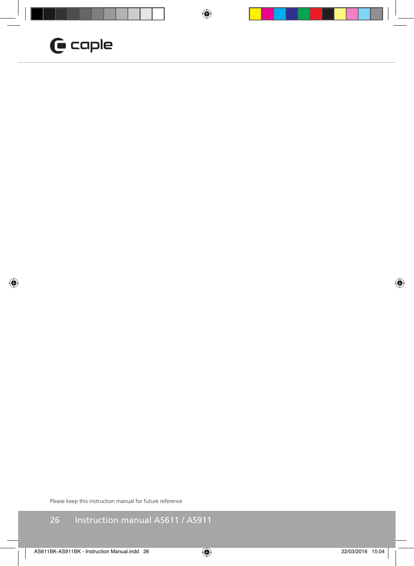### $G$  caple